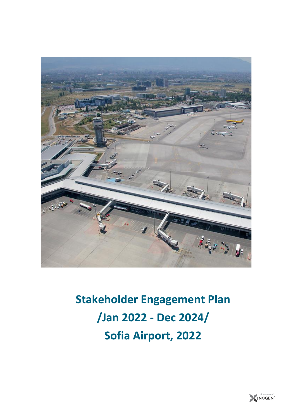

**Stakeholder Engagement Plan /Jan 2022 - Dec 2024/ Sofia Airport, 2022**

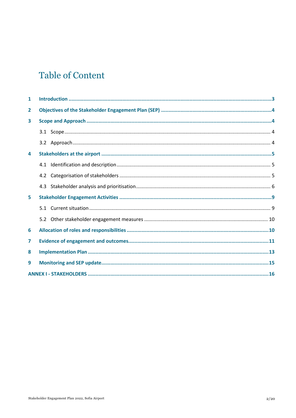# **Table of Content**

| $\mathbf{1}$ |     |  |  |
|--------------|-----|--|--|
| 2            |     |  |  |
| 3            |     |  |  |
|              |     |  |  |
|              |     |  |  |
| 4            |     |  |  |
|              |     |  |  |
|              | 4.2 |  |  |
|              |     |  |  |
| 5            |     |  |  |
|              | 5.1 |  |  |
|              | 5.2 |  |  |
| 6            |     |  |  |
| 7            |     |  |  |
| 8            |     |  |  |
| 9            |     |  |  |
|              |     |  |  |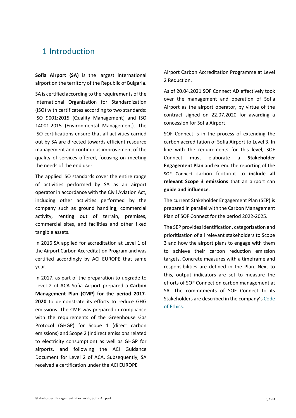## <span id="page-2-0"></span>1 Introduction

**Sofia Airport (SA)** is the largest international airport on the territory of the Republic of Bulgaria.

SA is certified according to the requirements of the International Organization for Standardization (ISO) with certificates according to two standards: [ISO 9001:2015](https://www.sofia-airport.bg/sites/default/files/sc_certificate_iso_9001-2015_2021_1_0.pdf) (Quality Management) and [ISO](https://sofia-airport.eu/wp-content/uploads/2021/12/sc_certificates_iso_14001-2015_2021_1.pdf)  [14001:2015](https://sofia-airport.eu/wp-content/uploads/2021/12/sc_certificates_iso_14001-2015_2021_1.pdf) (Environmental Management). The ISO certifications ensure that all activities carried out by SA are directed towards efficient resource management and continuous improvement of the quality of services offered, focusing on meeting the needs of the end user.

The applied ISO standards cover the entire range of activities performed by SA as an airport operator in accordance with the Civil Aviation Act, including other activities performed by the company such as ground handling, commercial activity, renting out of terrain, premises, commercial sites, and facilities and other fixed tangible assets.

In 2016 SA applied for accreditation at Level 1 of the Airport Carbon Accreditation Program and was certified accordingly by ACI EUROPE that same year.

In 2017, as part of the preparation to upgrade to Level 2 of ACA Sofia Airport prepared a **Carbon Management Plan (CMP) for the period 2017- 2020** to demonstrate its efforts to reduce GHG emissions. The CMP was prepared in compliance with the requirements of the Greenhouse Gas Protocol (GHGP) for Scope 1 (direct carbon emissions) and Scope 2 (indirect emissions related to electricity consumption) as well as GHGP for airports, and following the ACI Guidance Document for Level 2 of ACA. Subsequently, SA received a certification under the ACI EUROPE

Airport Carbon Accreditation Programme at [Level](https://sofia-airport.eu/wp-content/uploads/2021/12/aca_certificate_europe_2021-2022_reduction_sofia_sc.pdf)  [2 Reduction.](https://sofia-airport.eu/wp-content/uploads/2021/12/aca_certificate_europe_2021-2022_reduction_sofia_sc.pdf)

As of 20.04.2021 SOF Connect AD effectively took over the management and operation of Sofia Airport as the airport operator, by virtue of the contract signed on 22.07.2020 for awarding a concession for Sofia Airport.

SOF Connect is in the process of extending the carbon accreditation of Sofia Airport to Level 3. In line with the requirements for this level, SOF Connect must elaborate a **Stakeholder Engagement Plan** and extend the reporting of the SOF Connect carbon footprint to **include all relevant Scope 3 emissions** that an airport can **guide and influence**.

The current Stakeholder Engagement Plan (SEP) is prepared in parallel with the Carbon Management Plan of SOF Connect for the period 2022-2025.

The SEP provides identification, categorisation and prioritisation of all relevant stakeholders to Scope 3 and how the airport plans to engage with them to achieve their carbon reduction emission targets. Concrete measures with a timeframe and responsibilities are defined in the Plan. Next to this, output indicators are set to measure the efforts of SOF Connect on carbon management at SA. The commitments of SOF Connect to its Stakeholders are described in the company's [Code](https://sofia-airport.eu/about-us/code-of-ethics/)  [of Ethics.](https://sofia-airport.eu/about-us/code-of-ethics/)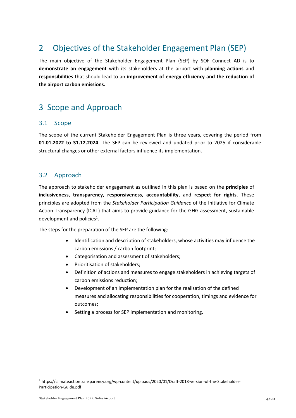# <span id="page-3-0"></span>2 Objectives of the Stakeholder Engagement Plan (SEP)

The main objective of the Stakeholder Engagement Plan (SEP) by SOF Connect AD is to **demonstrate an engagement** with its stakeholders at the airport with **planning actions** and **responsibilities** that should lead to an **improvement of energy efficiency and the reduction of the airport carbon emissions.** 

# <span id="page-3-1"></span>3 Scope and Approach

### <span id="page-3-2"></span>3.1 Scope

The scope of the current Stakeholder Engagement Plan is three years, covering the period from **01.01.2022 to 31.12.2024**. The SEP can be reviewed and updated prior to 2025 if considerable structural changes or other external factors influence its implementation.

## <span id="page-3-3"></span>3.2 Approach

The approach to stakeholder engagement as outlined in this plan is based on the **principles** of **inclusiveness, transparency, responsiveness, accountability,** and **respect for rights**. These principles are adopted from the *Stakeholder Participation Guidance* of the Initiative for Climate Action Transparency (ICAT) that aims to provide guidance for the GHG assessment, sustainable development and policies<sup>1</sup>.

The steps for the preparation of the SEP are the following:

- Identification and description of stakeholders, whose activities may influence the carbon emissions / carbon footprint;
- Categorisation and assessment of stakeholders;
- Prioritisation of stakeholders;
- Definition of actions and measures to engage stakeholders in achieving targets of carbon emissions reduction;
- Development of an implementation plan for the realisation of the defined measures and allocating responsibilities for cooperation, timings and evidence for outcomes;
- Setting a process for SEP implementation and monitoring.

<sup>1</sup> https://climateactiontransparency.org/wp-content/uploads/2020/01/Draft-2018-version-of-the-Stakeholder-Participation-Guide.pdf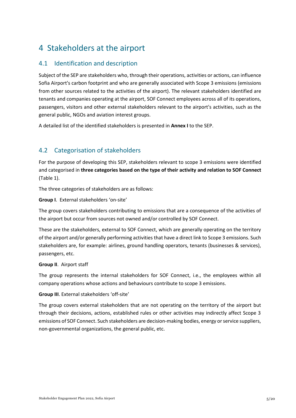# <span id="page-4-0"></span>4 Stakeholders at the airport

## <span id="page-4-1"></span>4.1 Identification and description

Subject of the SEP are stakeholders who, through their operations, activities or actions, can influence Sofia Airport's carbon footprint and who are generally associated with Scope 3 emissions (emissions from other sources related to the activities of the airport). The relevant stakeholders identified are tenants and companies operating at the airport, SOF Connect employees across all of its operations, passengers, visitors and other external stakeholders relevant to the airport's activities, such as the general public, NGOs and aviation interest groups.

A detailed list of the identified stakeholders is presented in **Annex I** to the SEP.

## <span id="page-4-2"></span>4.2 Categorisation of stakeholders

For the purpose of developing this SEP, stakeholders relevant to scope 3 emissions were identified and categorised in **three categories based on the type of their activity and relation to SOF Connect** (Table 1).

The three categories of stakeholders are as follows:

**Group I**. External stakeholders 'on-site'

The group covers stakeholders contributing to emissions that are a consequence of the activities of the airport but occur from sources not owned and/or controlled by SOF Connect.

These are the stakeholders, external to SOF Connect, which are generally operating on the territory of the airport and/or generally performing activities that have a direct link to Scope 3 emissions. Such stakeholders are, for example: airlines, ground handling operators, tenants (businesses & services), passengers, etc.

#### **Group II**. Airport staff

The group represents the internal stakeholders for SOF Connect, i.e., the employees within all company operations whose actions and behaviours contribute to scope 3 emissions.

#### **Group III**. External stakeholders 'off-site'

The group covers external stakeholders that are not operating on the territory of the airport but through their decisions, actions, established rules or other activities may indirectly affect Scope 3 emissions of SOF Connect. Such stakeholders are decision-making bodies, energy or service suppliers, non-governmental organizations, the general public, etc.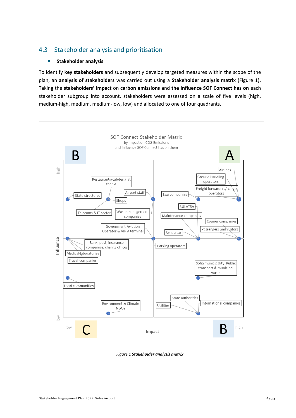## <span id="page-5-0"></span>4.3 Stakeholder analysis and prioritisation

#### ▪ **Stakeholder analysis**

To identify **key stakeholders** and subsequently develop targeted measures within the scope of the plan, an **analysis of stakeholders** was carried out using a **Stakeholder analysis matrix** [\(Figure 1\)](#page-5-1)**.**  Taking the **stakeholders' impact** on **carbon emissions** and **the Influence SOF Connect has on** each stakeholder subgroup into account, stakeholders were assessed on a scale of five levels (high, medium-high, medium, medium-low, low) and allocated to one of four quadrants.



<span id="page-5-1"></span>*Figure 1 Stakeholder analysis matrix*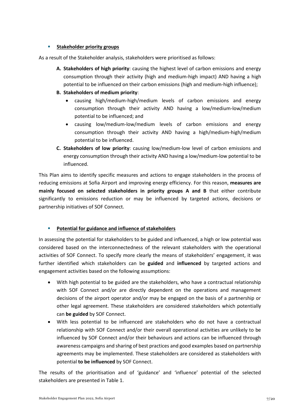#### ▪ **Stakeholder priority groups**

As a result of the Stakeholder analysis, stakeholders were prioritised as follows:

- **A. Stakeholders of high priority**: causing the highest level of carbon emissions and energy consumption through their activity (high and medium-high impact) AND having a high potential to be influenced on their carbon emissions (high and medium-high influence);
- **B. Stakeholders of medium priority**:
	- causing high/medium-high/medium levels of carbon emissions and energy consumption through their activity AND having a low/medium-low/medium potential to be influenced; and
	- causing low/medium-low/medium levels of carbon emissions and energy consumption through their activity AND having a high/medium-high/medium potential to be influenced.
- **C. Stakeholders of low priority**: causing low/medium-low level of carbon emissions and energy consumption through their activity AND having a low/medium-low potential to be influenced.

This Plan aims to identify specific measures and actions to engage stakeholders in the process of reducing emissions at Sofia Airport and improving energy efficiency. For this reason, **measures are mainly focused on selected stakeholders in priority groups A and B** that either contribute significantly to emissions reduction or may be influenced by targeted actions, decisions or partnership initiatives of SOF Connect.

#### **Potential for guidance and influence of stakeholders**

In assessing the potential for stakeholders to be guided and influenced, a high or low potential was considered based on the interconnectedness of the relevant stakeholders with the operational activities of SOF Connect. To specify more clearly the means of stakeholders' engagement, it was further identified which stakeholders can be **guided** and **influenced** by targeted actions and engagement activities based on the following assumptions:

- With high potential to be guided are the stakeholders, who have a contractual relationship with SOF Connect and/or are directly dependent on the operations and management decisions of the airport operator and/or may be engaged on the basis of a partnership or other legal agreement. These stakeholders are considered stakeholders which potentially can **be guided** by SOF Connect.
- With less potential to be influenced are stakeholders who do not have a contractual relationship with SOF Connect and/or their overall operational activities are unlikely to be influenced by SOF Connect and/or their behaviours and actions can be influenced through awareness campaigns and sharing of best practices and good examples based on partnership agreements may be implemented. These stakeholders are considered as stakeholders with potential **to be influenced** by SOF Connect.

The results of the prioritisation and of 'guidance' and 'influence' potential of the selected stakeholders are presented in Table 1.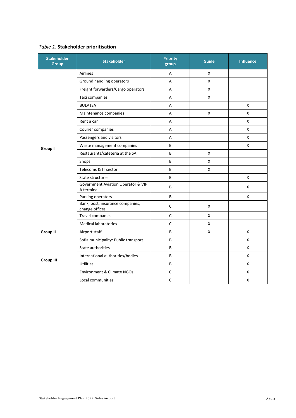## *Table 1*. **Stakeholder prioritisation**

| <b>Stakeholder</b><br><b>Group</b> | <b>Stakeholder</b>                                 | <b>Priority</b><br>group | <b>Guide</b> | <b>Influence</b> |
|------------------------------------|----------------------------------------------------|--------------------------|--------------|------------------|
|                                    | Airlines                                           | Α                        | X            |                  |
|                                    | Ground handling operators                          | A                        | X            |                  |
|                                    | Freight forwarders/Cargo operators                 | A                        | X            |                  |
|                                    | Taxi companies                                     | A                        | X            |                  |
|                                    | <b>BULATSA</b>                                     | A                        |              | X                |
|                                    | Maintenance companies                              | A                        | X            | X                |
|                                    | Rent a car                                         | A                        |              | X                |
|                                    | Courier companies                                  | A                        |              | X                |
|                                    | Passengers and visitors                            | А                        |              | X                |
| Group I                            | Waste management companies                         | B                        |              | X                |
|                                    | Restaurants/cafeteria at the SA                    | B                        | X            |                  |
|                                    | Shops                                              | B                        | X            |                  |
|                                    | Telecoms & IT sector                               | B                        | X            |                  |
|                                    | State structures                                   | B                        |              | X                |
|                                    | Government Aviation Operator & VIP<br>A terminal   | B                        |              | X                |
|                                    | Parking operators                                  | B                        |              | X                |
|                                    | Bank, post, insurance companies,<br>change offices | $\mathsf C$              | X            |                  |
|                                    | Travel companies                                   | $\mathsf C$              | X            |                  |
|                                    | <b>Medical laboratories</b>                        | $\mathsf C$              | X            |                  |
| <b>Group II</b>                    | Airport staff                                      | B                        | X            | X                |
|                                    | Sofia municipality: Public transport               | B                        |              | X                |
|                                    | State authorities                                  | B                        |              | X                |
|                                    | International authorities/bodies                   | B                        |              | x                |
| <b>Group III</b>                   | <b>Utilities</b>                                   | B                        |              | X                |
|                                    | Environment & Climate NGOs                         | $\mathsf C$              |              | X                |
|                                    | Local communities                                  | $\mathsf C$              |              | X                |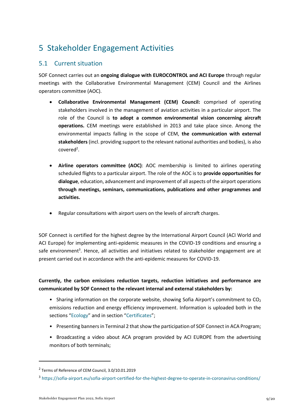# <span id="page-8-0"></span>5 Stakeholder Engagement Activities

## <span id="page-8-1"></span>5.1 Current situation

SOF Connect carries out an **ongoing dialogue with EUROCONTROL and ACI Europe** through regular meetings with the Collaborative Environmental Management (CEM) Council and the Airlines operators committee (AOC).

- **Collaborative Environmental Management (CEM) Council:** comprised of operating stakeholders involved in the management of aviation activities in a particular airport. The role of the Council is **to adopt a common environmental vision concerning aircraft operations.** CEM meetings were established in 2013 and take place since. Among the environmental impacts falling in the scope of CEM, **the communication with external stakeholders** (incl. providing support to the relevant national authorities and bodies), is also  $covered<sup>2</sup>$ .
- **Airline operators committee (AOC)**: AOC membership is limited to airlines operating scheduled flights to a particular airport. The role of the AOC is to **provide opportunities for dialogue**, education, advancement and improvement of all aspects of the airport operations **through meetings, seminars, communications, publications and other programmes and activities.**
- Regular consultations with airport users on the levels of aircraft charges.

SOF Connect is certified for the highest degree by the International Airport Council (ACI World and ACI Europe) for implementing anti-epidemic measures in the COVID-19 conditions and ensuring a safe environment<sup>3</sup>. Hence, all activities and initiatives related to stakeholder engagement are at present carried out in accordance with the anti-epidemic measures for COVID-19.

**Currently, the carbon emissions reduction targets, reduction initiatives and performance are communicated by SOF Connect to the relevant internal and external stakeholders by:** 

- Sharing information on the corporate website, showing Sofia Airport's commitment to CO<sub>2</sub> emissions reduction and energy efficiency improvement. Information is uploaded both in the sections "[Ecology](https://sofia-airport.eu/about-us/ecology/)" and in section "[Certificates](https://sofia-airport.eu/about-us/certificates/)";
- Presenting banners in Terminal 2 that show the participation of SOF Connect in ACA Program;
- Broadcasting a video about ACA program provided by ACI EUROPE from the advertising monitors of both terminals;

<sup>&</sup>lt;sup>2</sup> Terms of Reference of CEM Council, 3.0/10.01.2019

<sup>3</sup> <https://sofia-airport.eu/sofia-airport-certified-for-the-highest-degree-to-operate-in-coronavirus-conditions/>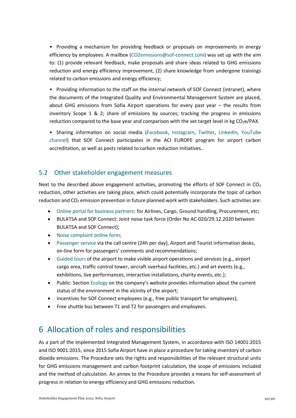• Providing a mechanism for providing feedback or proposals on improvements in energy efficiency by employees. A mailbox [\(CO2emissions@sof-connect.com\)](mailto:CO2emissions@sof-connect.com) was set up with the aim to: (1) provide relevant feedback, make proposals and share ideas related to GHG emissions reduction and energy efficiency improvement, (2) share knowledge from undergone trainings related to carbon emissions and energy efficiency;

• Providing information to the staff on the internal network of SOF Connect (intranet), where the documents of the Integrated Quality and Environmental Management System are placed, about GHG emissions from Sofia Airport operations for every past year – the results from inventory Scope 1 & 2; share of emissions by sources; tracking the progress in emissions reduction compared to the base year and comparison with the set target level in kg CO<sub>2</sub>e/PAX.

• Sharing information on social media [\(Facebook,](https://www.facebook.com/SOFIAirport/) [Instagram,](https://www.instagram.com/sofiaairport/) [Twitter,](https://twitter.com/sofiairport) [LinkedIn,](https://www.linkedin.com/company/sofia-airport/) YouTube [channel\)](https://www.youtube.com/channel/UCrSi7N7i9-TZmZ1vq-2dMDw/featured) that SOF Connect participates in the ACI EUROPE program for airport carbon accreditation, as well as posts related to carbon reduction initiatives..

## <span id="page-9-0"></span>5.2 Other stakeholder engagement measures

Next to the described above engagement activities, promoting the efforts of SOF Connect in CO<sub>2</sub> reduction, other activities are taking place, which could potentially incorporate the topic of carbon reduction and  $CO<sub>2</sub>$  emission prevention in future planned work with stakeholders. Such activities are:

- [Online portal for business partners:](https://sofia-airport.eu/business/rents-advertising/) for Airlines, Cargo, Ground handling, Procurement, etc;
- BULATSA and SOF Connect: Joint noise task force (Order No AC-020/29.12.2020 between BULATSA and SOF Connect);
- [Noise complaint online form;](https://www.sofia-airport.bg/en/content/noise-contact-form)
- [Passenger service](https://www.sofia-airport.bg/en/passengers/contact-us) via the call centre (24h per day), Airport and Tourist information desks, on-line form for passengers' comments and recommendations;
- [Guided tours](https://www.sofia-airport.bg/en/business/events) of the airport to make visible airport operations and services (e.g., airport cargo area, traffic control tower, aircraft overhaul facilities, etc.) and art events (e.g., exhibitions, live performances, interactive installations, charity events, etc.);
- Public: Section [Ecology](https://sofia-airport.eu/about-us/ecology/) on the company's website provides information about the current status of the environment in the vicinity of the airport;
- Incentives for SOF Connect employees (e.g., free public transport for employees);
- Free shuttle bus between T1 and T2 for passengers and employees.

# <span id="page-9-1"></span>6 Allocation of roles and responsibilities

As a part of the implemented Integrated Management System, in accordance with ISO 14001:2015 and ISO 9001:2015, since 2015 Sofia Airport have in place a procedure for taking inventory of carbon dioxide emissions. The Procedure sets the rights and responsibilities of the relevant structural units for GHG emissions management and carbon footprint calculation, the scope of emissions included and the method of calculation. An annex to the Procedure provides a means for self-assessment of progress in relation to energy efficiency and GHG emissions reduction.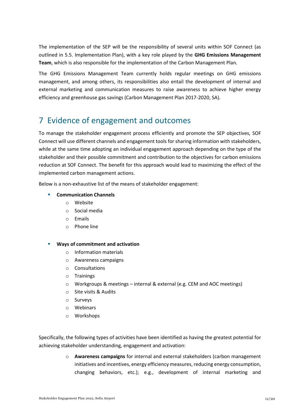The implementation of the SEP will be the responsibility of several units within SOF Connect (as outlined in 5.5. Implementation Plan), with a key role played by the **GHG Emissions Management Team**, which is also responsible for the implementation of the Carbon Management Plan.

The GHG Emissions Management Team currently holds regular meetings on GHG emissions management, and among others, its responsibilities also entail the development of internal and external marketing and communication measures to raise awareness to achieve higher energy efficiency and greenhouse gas savings (Carbon Management Plan 2017-2020, SA).

# <span id="page-10-0"></span>7 Evidence of engagement and outcomes

To manage the stakeholder engagement process efficiently and promote the SEP objectives, SOF Connect will use different channels and engagement tools for sharing information with stakeholders, while at the same time adopting an individual engagement approach depending on the type of the stakeholder and their possible commitment and contribution to the objectives for carbon emissions reduction at SOF Connect. The benefit for this approach would lead to maximizing the effect of the implemented carbon management actions.

Below is a non-exhaustive list of the means of stakeholder engagement:

#### ▪ **Communication Channels**

- o Website
- o Social media
- o Emails
- o Phone line
- **Ways of commitment and activation**
	- o Information materials
	- o Awareness campaigns
	- o Consultations
	- o Trainings
	- o Workgroups & meetings internal & external (e.g. CEM and AOC meetings)
	- o Site visits & Audits
	- o Surveys
	- o Webinars
	- o Workshops

Specifically, the following types of activities have been identified as having the greatest potential for achieving stakeholder understanding, engagement and activation:

> o **Awareness campaigns** for internal and external stakeholders (carbon management initiatives and incentives, energy efficiency measures, reducing energy consumption, changing behaviors, etc.); e.g., development of internal marketing and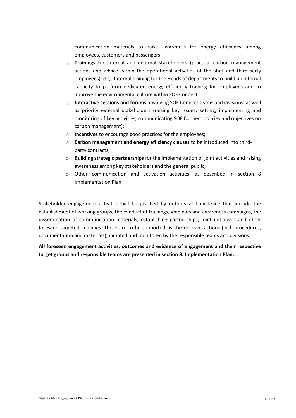communication materials to raise awareness for energy efficiency among employees, customers and passengers.

- o **Trainings** for internal and external stakeholders (practical carbon management actions and advice within the operational activities of the staff and third-party employees); e.g., Internal training for the Heads of departments to build up internal capacity to perform dedicated energy efficiency training for employees and to improve the environmental culture within SOF Connect.
- o **Interactive sessions and forums**, involving SOF Connect teams and divisions, as well as priority external stakeholders (raising key issues; setting, implementing and monitoring of key activities; communicating SOF Connect policies and objectives on carbon management);
- o **Incentives** to encourage good practices for the employees;
- o **Carbon management and energy efficiency clauses** to be introduced into thirdparty contracts;
- o **Building strategic partnerships** for the implementation of joint activities and raising awareness among key stakeholders and the general public;
- o Other communication and activation activities, as described in section [8](#page-12-0) [Implementation](#page-12-0) Plan.

Stakeholder engagement activities will be justified by outputs and evidence that include the establishment of working groups, the conduct of trainings, webinars and awareness campaigns, the dissemination of communication materials, establishing partnerships, joint initiatives and other foreseen targeted activities. These are to be supported by the relevant actions (incl. procedures, documentation and materials), initiated and monitored by the responsible teams and divisions.

**All foreseen engagement activities, outcomes and evidence of engagement and their respective target groups and responsible teams are presented in section [8.](#page-12-0) [Implementation](#page-12-0) Plan.**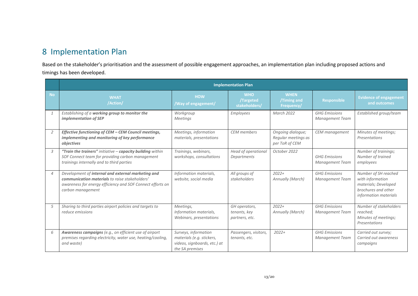# 8 Implementation Plan

Based on the stakeholder's prioritisation and the assessment of possible engagement approaches, an implementation plan including proposed actions and timings has been developed.

<span id="page-12-0"></span>

|                | <b>Implementation Plan</b>                                                                                                                                                              |                                                                                                      |                                                 |                                                            |                                                |                                                                                                                  |
|----------------|-----------------------------------------------------------------------------------------------------------------------------------------------------------------------------------------|------------------------------------------------------------------------------------------------------|-------------------------------------------------|------------------------------------------------------------|------------------------------------------------|------------------------------------------------------------------------------------------------------------------|
| <b>No</b>      | <b>WHAT</b><br>/Action/                                                                                                                                                                 | <b>HOW</b><br>/Way of engagement/                                                                    | <b>WHO</b><br>/Targeted<br>stakeholders/        | <b>WHEN</b><br>/Timing and<br>Frequency/                   | <b>Responsible</b>                             | <b>Evidence of engagement</b><br>and outcomes                                                                    |
|                | Establishing of a working group to monitor the<br>implementation of SEP                                                                                                                 | Workgroup<br><b>Meetings</b>                                                                         | <b>Employees</b>                                | March 2022                                                 | <b>GHG Emissions</b><br>Management Team        | Established group/team                                                                                           |
| 2              | Effective functioning of CEM - CEM Council meetings,<br>implementing and monitoring of key performance<br>objectives                                                                    | Meetings, information<br>materials, presentations                                                    | <b>CEM</b> members                              | Ongoing dialogue;<br>Regular meetings as<br>per ToR of CEM | CEM management                                 | Minutes of meetings;<br>Presentations                                                                            |
| $\overline{3}$ | "Train the trainers" initiative - capacity building within<br>SOF Connect team for providing carbon management<br>trainings internally and to third parties                             | Trainings, webinars,<br>workshops, consultations                                                     | Head of operational<br>Departments              | October 2022                                               | <b>GHG Emissions</b><br><b>Management Team</b> | Number of trainings;<br>Number of trained<br>employees                                                           |
| $\overline{4}$ | Development of internal and external marketing and<br>communication materials to raise stakeholders'<br>awareness for energy efficiency and SOF Connect efforts on<br>carbon management | Information materials,<br>website, social media                                                      | All groups of<br>stakeholders                   | $2022+$<br>Annually (March)                                | <b>GHG Emissions</b><br><b>Management Team</b> | Number of SH reached<br>with information<br>materials; Developed<br>brochures and other<br>information materials |
| 5              | Sharing to third parties airport policies and targets to<br>reduce emissions                                                                                                            | Meetings,<br>Information materials,<br>Webinars, presentations                                       | GH operators,<br>tenants, key<br>partners, etc. | $2022+$<br>Annually (March)                                | <b>GHG Emissions</b><br><b>Management Team</b> | Number of stakeholders<br>reached;<br>Minutes of meetings;<br>Presentations                                      |
| 6              | Awareness campaigns (e.g., on efficient use of airport<br>premises regarding electricity, water use, heating/cooling,<br>and waste)                                                     | Surveys, information<br>materials (e.g. stickers,<br>videos, signboards, etc.) at<br>the SA premises | Passengers, visitors,<br>tenants, etc.          | $2022+$                                                    | <b>GHG Emissions</b><br><b>Management Team</b> | Carried out survey;<br>Carried out awareness<br>campaigns                                                        |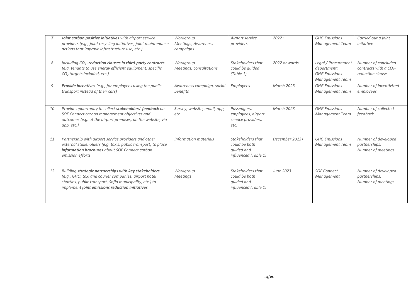|    | Joint carbon positive initiatives with airport service<br>providers (e.g., joint recycling initiatives, joint maintenance<br>actions that improve infrastructure use, etc.)                                                   | Workgroup<br>Meetings; Awareness<br>campaigns | Airport service<br>providers                                             | $2022+$           | <b>GHG Emissions</b><br>Management Team                                       | Carried out a joint<br>initiative                                      |
|----|-------------------------------------------------------------------------------------------------------------------------------------------------------------------------------------------------------------------------------|-----------------------------------------------|--------------------------------------------------------------------------|-------------------|-------------------------------------------------------------------------------|------------------------------------------------------------------------|
| 8  | Including CO <sub>2</sub> -reduction clauses in third-party contracts<br>(e.g. tenants to use energy efficient equipment; specific<br>CO <sub>2</sub> targets included, etc.)                                                 | Workgroup<br>Meetings, consultations          | Stakeholders that<br>could be quided<br>(Table 1)                        | 2022 onwards      | Legal / Procurement<br>department;<br><b>GHG Emissions</b><br>Management Team | Number of concluded<br>contracts with a $CO_{2}$ -<br>reduction clause |
| 9  | Provide incentives (e.g., for employees using the public<br>transport instead of their cars)                                                                                                                                  | Awareness campaign, social<br>benefits        | <b>Employees</b>                                                         | <b>March 2023</b> | <b>GHG Emissions</b><br><b>Management Team</b>                                | Number of incentivized<br>employees                                    |
| 10 | Provide opportunity to collect stakeholders' feedback on<br>SOF Connect carbon management objectives and<br>outcomes (e.g. at the airport premises, on the website, via<br>app, etc.)                                         | Survey, website, email, app,<br>etc.          | Passengers,<br>employees, airport<br>service providers,<br>etc.          | <b>March 2023</b> | <b>GHG Emissions</b><br><b>Management Team</b>                                | Number of collected<br>feedback                                        |
| 11 | Partnership with airport service providers and other<br>external stakeholders (e.g. taxis, public transport) to place<br>information brochures about SOF Connect carbon<br>emission efforts                                   | Information materials                         | Stakeholders that<br>could be both<br>quided and<br>influenced (Table 1) | December 2023+    | <b>GHG Emissions</b><br><b>Management Team</b>                                | Number of developed<br>partnerships;<br>Number of meetings             |
| 12 | Building strategic partnerships with key stakeholders<br>(e.g., GHO, taxi and courier companies, airport hotel<br>shuttles, public transport, Sofia municipality, etc.) to<br>implement joint emissions reduction initiatives | Workgroup<br>Meetings                         | Stakeholders that<br>could be both<br>quided and<br>influenced (Table 1) | June 2023         | <b>SOF Connect</b><br>Management                                              | Number of developed<br>partnerships;<br>Number of meetings             |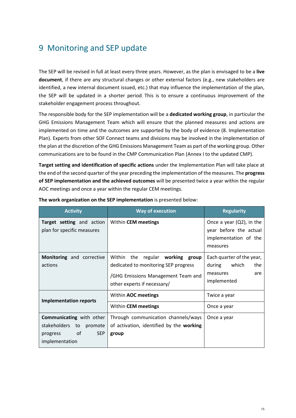# <span id="page-14-0"></span>9 Monitoring and SEP update

The SEP will be revised in full at least every three years. However, as the plan is envisaged to be a **live document**, if there are any structural changes or other external factors (e.g., new stakeholders are identified, a new internal document issued, etc.) that may influence the implementation of the plan, the SEP will be updated in a shorter period. This is to ensure a continuous improvement of the stakeholder engagement process throughout.

The responsible body for the SEP implementation will be a **dedicated working group**, in particular the GHG Emissions Management Team which will ensure that the planned measures and actions are implemented on time and the outcomes are supported by the body of evidence [\(8. Implementation](#page-12-0) [Plan\)](#page-12-0). Experts from other SOF Connect teams and divisions may be involved in the implementation of the plan at the discretion of the GHG Emissions Management Team as part of the working group. Other communications are to be found in the CMP Communication Plan (Annex I to the updated CMP).

**Target setting and identification of specific actions** under the Implementation Plan will take place at the end of the second quarter of the year preceding the implementation of the measures. The **progress of SEP implementation and the achieved outcomes** will be presented twice a year within the regular AOC meetings and once a year within the regular CEM meetings.

| <b>Activity</b>                                                                                              | <b>Way of execution</b>                                                                                                                       | <b>Regularity</b>                                                                          |  |
|--------------------------------------------------------------------------------------------------------------|-----------------------------------------------------------------------------------------------------------------------------------------------|--------------------------------------------------------------------------------------------|--|
| Target setting and action<br>plan for specific measures                                                      | Within CEM meetings                                                                                                                           | Once a year $(Q2)$ , in the<br>year before the actual<br>implementation of the<br>measures |  |
| Monitoring and corrective<br>actions                                                                         | Within the regular working group<br>dedicated to monitoring SEP progress<br>/GHG Emissions Management Team and<br>other experts if necessary/ | Each quarter of the year,<br>which<br>the<br>during<br>measures<br>are<br>implemented      |  |
| <b>Implementation reports</b>                                                                                | Within AOC meetings<br>Within CEM meetings                                                                                                    | Twice a year<br>Once a year                                                                |  |
| <b>Communicating</b> with other<br>stakeholders to promote<br>of<br><b>SEP</b><br>progress<br>implementation | Through communication channels/ways<br>of activation, identified by the working<br>group                                                      | Once a year                                                                                |  |

**The work organization on the SEP implementation** is presented below: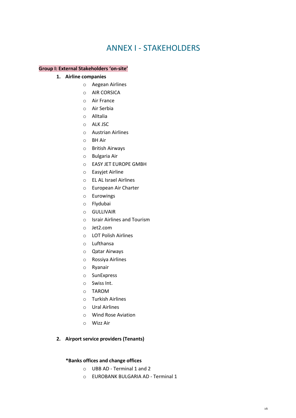# ANNEX I - STAKEHOLDERS

#### <span id="page-15-0"></span>**Group I: External Stakeholders 'on-site'**

- **1. Airline companies**
	- o Aegean Airlines
	- o AIR CORSICA
	- o Air France
	- o Air Serbia
	- o AlItalia
	- o ALK JSC
	- o Austrian Airlines
	- o BH Air
	- o British Airways
	- o Bulgaria Air
	- o EASY JET EUROPE GMBH
	- o Easyjet Airline
	- o EL AL Israel Airlines
	- o European Air Charter
	- o Eurowings
	- o Flydubai
	- o GULLIVAIR
	- o Israir Airlines and Tourism
	- o Jet2.com
	- o LOT Polish Airlines
	- o Lufthansa
	- o Qatar Airways
	- o Rossiya Airlines
	- o Ryanair
	- o SunExpress
	- o Swiss Int.
	- o TAROM
	- o Turkish Airlines
	- o Ural Airlines
	- o Wind Rose Aviation
	- o Wizz Air

#### **2. Airport service providers (Tenants)**

#### **\*Banks offices and change offices**

- o UBB AD Terminal 1 and 2
- o EUROBANK BULGARIA AD Terminal 1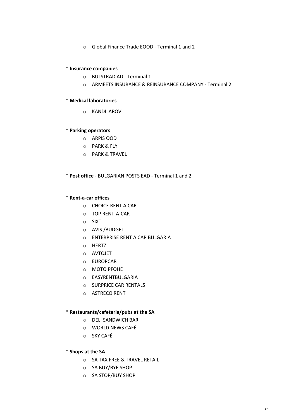o Global Finance Trade EOOD - Terminal 1 and 2

#### \* **Insurance companies**

- o BULSTRAD AD Terminal 1
- o ARMEETS INSURANCE & REINSURANCE COMPANY Terminal 2

#### \* **Medical laboratories**

o KANDILAROV

#### \* **Parking operators**

- o ARPIS OOD
- o PARK & FLY
- o PARK & TRAVEL

\* **Post office** - BULGARIAN POSTS EAD - Terminal 1 and 2

#### \* **Rent-a-car offices**

- o CHOICE RENT A CAR
- o TOP RENT-A-CAR
- o SIXT
- o AVIS /BUDGET
- o ENTERPRISE RENT A CAR BULGARIA
- o HERTZ
- o AVTOJET
- o EUROPCAR
- o MOTO PFOHE
- o EASYRENTBULGARIA
- o SURPRICE CAR RENTALS
- o ASTRECO RENT

#### \* **Restaurants/cafeteria/pubs at the SA**

- o DELI SANDWICH BAR
- o WORLD NEWS CAFÉ
- o SKY CAFÉ

#### \* **Shops at the SA**

- o SA TAX FREE & TRAVEL RETAIL
- o SA BUY/BYE SHOP
- o SA STOP/BUY SHOP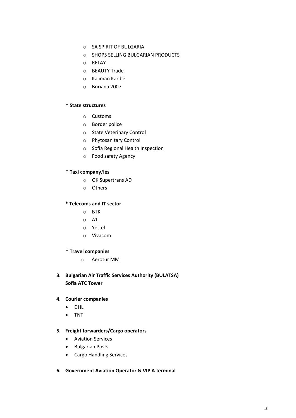- o SA SPIRIT OF BULGARIA
- o SHOPS SELLING BULGARIAN PRODUCTS
- o RELAY
- o BEAUTY Trade
- o Kaliman Karibe
- o Boriana 2007

#### **\* State structures**

- o Customs
- o Border police
- o State Veterinary Control
- o Phytosanitary Control
- o Sofia Regional Health Inspection
- o Food safety Agency

#### \* **Taxi company**/**ies**

- o OK Supertrans AD
- o Others

#### **\* Telecoms and IT sector**

- o BTK
- o A1
- o Yettel
- o Vivacom

#### \* **Travel companies**

o Aerotur MM

## **3. Bulgarian Air Traffic Services Authority (BULATSA) Sofia ATC Tower**

#### **4. Courier companies**

- DHL
- TNT

#### **5. Freight forwarders/Cargo operators**

- Aviation Services
- Bulgarian Posts
- Cargo Handling Services
- **6. Government Aviation Operator & VIP A terminal**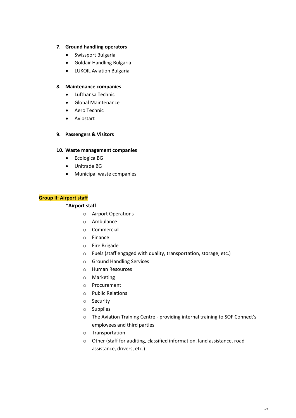#### **7. Ground handling operators**

- Swissport Bulgaria
- Goldair Handling Bulgaria
- LUKOIL Aviation Bulgaria

#### **8. Maintenance companies**

- Lufthansa Technic
- Global Maintenance
- Aero Technic
- Aviostart

#### **9. Passengers & Visitors**

#### **10. Waste management companies**

- Ecologica BG
- Unitrade BG
- Municipal waste companies

#### **Group II: Airport staff**

#### **\*Airport staff**

- o Airport Operations
- o Ambulance
- o Commercial
- o Finance
- o Fire Brigade
- o Fuels (staff engaged with quality, transportation, storage, etc.)
- o Ground Handling Services
- o Human Resources
- o Marketing
- o Procurement
- o Public Relations
- o Security
- o Supplies
- o The Aviation Training Centre providing internal training to SOF Connect's employees and third parties
- o Transportation
- o Other (staff for auditing, classified information, land assistance, road assistance, drivers, etc.)